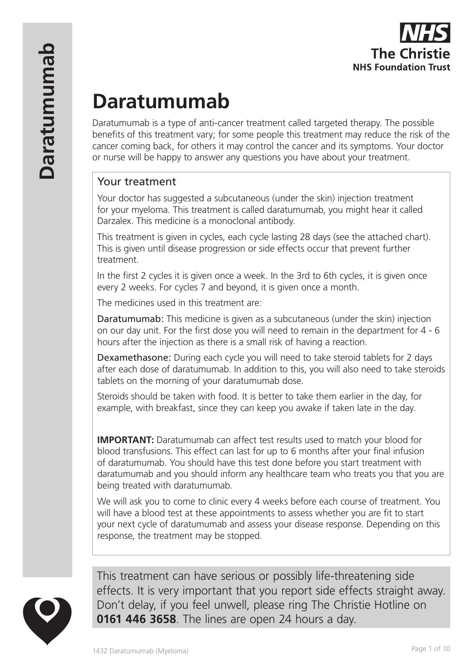

# **Daratumumab**

Daratumumab is a type of anti-cancer treatment called targeted therapy. The possible benefits of this treatment vary; for some people this treatment may reduce the risk of the cancer coming back, for others it may control the cancer and its symptoms. Your doctor or nurse will be happy to answer any questions you have about your treatment.

# Your treatment

Your doctor has suggested a subcutaneous (under the skin) injection treatment for your myeloma. This treatment is called daratumumab, you might hear it called Darzalex. This medicine is a monoclonal antibody.

This treatment is given in cycles, each cycle lasting 28 days (see the attached chart). This is given until disease progression or side effects occur that prevent further treatment.

In the first 2 cycles it is given once a week. In the 3rd to 6th cycles, it is given once every 2 weeks. For cycles 7 and beyond, it is given once a month.

The medicines used in this treatment are:

Daratumumab: This medicine is given as a subcutaneous (under the skin) injection on our day unit. For the first dose you will need to remain in the department for 4 - 6 hours after the injection as there is a small risk of having a reaction.

Dexamethasone: During each cycle you will need to take steroid tablets for 2 days after each dose of daratumumab. In addition to this, you will also need to take steroids tablets on the morning of your daratumumab dose.

Steroids should be taken with food. It is better to take them earlier in the day, for example, with breakfast, since they can keep you awake if taken late in the day.

**IMPORTANT:** Daratumumab can affect test results used to match your blood for blood transfusions. This effect can last for up to 6 months after your final infusion of daratumumab. You should have this test done before you start treatment with daratumumab and you should inform any healthcare team who treats you that you are being treated with daratumumab.

We will ask you to come to clinic every 4 weeks before each course of treatment. You will have a blood test at these appointments to assess whether you are fit to start your next cycle of daratumumab and assess your disease response. Depending on this response, the treatment may be stopped.



This treatment can have serious or possibly life-threatening side effects. It is very important that you report side effects straight away. Don't delay, if you feel unwell, please ring The Christie Hotline on **0161 446 3658**. The lines are open 24 hours a day.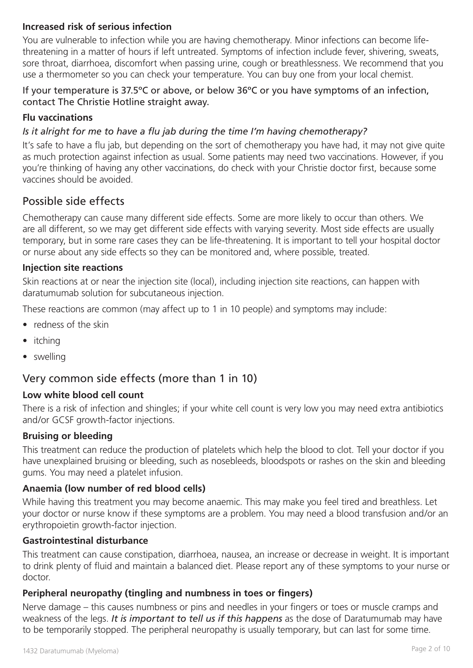## **Increased risk of serious infection**

You are vulnerable to infection while you are having chemotherapy. Minor infections can become lifethreatening in a matter of hours if left untreated. Symptoms of infection include fever, shivering, sweats, sore throat, diarrhoea, discomfort when passing urine, cough or breathlessness. We recommend that you use a thermometer so you can check your temperature. You can buy one from your local chemist.

#### If your temperature is 37.5ºC or above, or below 36ºC or you have symptoms of an infection, contact The Christie Hotline straight away.

## **Flu vaccinations**

## *Is it alright for me to have a flu jab during the time I'm having chemotherapy?*

It's safe to have a flu jab, but depending on the sort of chemotherapy you have had, it may not give quite as much protection against infection as usual. Some patients may need two vaccinations. However, if you you're thinking of having any other vaccinations, do check with your Christie doctor first, because some vaccines should be avoided.

# Possible side effects

Chemotherapy can cause many different side effects. Some are more likely to occur than others. We are all different, so we may get different side effects with varying severity. Most side effects are usually temporary, but in some rare cases they can be life-threatening. It is important to tell your hospital doctor or nurse about any side effects so they can be monitored and, where possible, treated.

## **Injection site reactions**

Skin reactions at or near the injection site (local), including injection site reactions, can happen with daratumumab solution for subcutaneous injection.

These reactions are common (may affect up to 1 in 10 people) and symptoms may include:

- redness of the skin
- itching
- swelling

## Very common side effects (more than 1 in 10)

## **Low white blood cell count**

There is a risk of infection and shingles; if your white cell count is very low you may need extra antibiotics and/or GCSF growth-factor injections.

## **Bruising or bleeding**

This treatment can reduce the production of platelets which help the blood to clot. Tell your doctor if you have unexplained bruising or bleeding, such as nosebleeds, bloodspots or rashes on the skin and bleeding gums. You may need a platelet infusion.

## **Anaemia (low number of red blood cells)**

While having this treatment you may become anaemic. This may make you feel tired and breathless. Let your doctor or nurse know if these symptoms are a problem. You may need a blood transfusion and/or an erythropoietin growth-factor injection.

## **Gastrointestinal disturbance**

This treatment can cause constipation, diarrhoea, nausea, an increase or decrease in weight. It is important to drink plenty of fluid and maintain a balanced diet. Please report any of these symptoms to your nurse or doctor.

## **Peripheral neuropathy (tingling and numbness in toes or fingers)**

Nerve damage – this causes numbness or pins and needles in your fingers or toes or muscle cramps and weakness of the legs. *It is important to tell us if this happens* as the dose of Daratumumab may have to be temporarily stopped. The peripheral neuropathy is usually temporary, but can last for some time.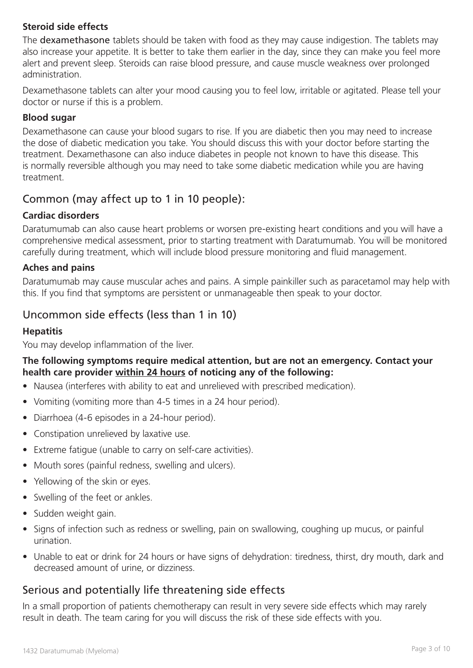## **Steroid side effects**

The **dexamethasone** tablets should be taken with food as they may cause indigestion. The tablets may also increase your appetite. It is better to take them earlier in the day, since they can make you feel more alert and prevent sleep. Steroids can raise blood pressure, and cause muscle weakness over prolonged administration.

Dexamethasone tablets can alter your mood causing you to feel low, irritable or agitated. Please tell your doctor or nurse if this is a problem.

## **Blood sugar**

Dexamethasone can cause your blood sugars to rise. If you are diabetic then you may need to increase the dose of diabetic medication you take. You should discuss this with your doctor before starting the treatment. Dexamethasone can also induce diabetes in people not known to have this disease. This is normally reversible although you may need to take some diabetic medication while you are having treatment.

# Common (may affect up to 1 in 10 people):

## **Cardiac disorders**

Daratumumab can also cause heart problems or worsen pre-existing heart conditions and you will have a comprehensive medical assessment, prior to starting treatment with Daratumumab. You will be monitored carefully during treatment, which will include blood pressure monitoring and fluid management.

## **Aches and pains**

Daratumumab may cause muscular aches and pains. A simple painkiller such as paracetamol may help with this. If you find that symptoms are persistent or unmanageable then speak to your doctor.

# Uncommon side effects (less than 1 in 10)

## **Hepatitis**

You may develop inflammation of the liver.

## **The following symptoms require medical attention, but are not an emergency. Contact your health care provider within 24 hours of noticing any of the following:**

- Nausea (interferes with ability to eat and unrelieved with prescribed medication).
- Vomiting (vomiting more than 4-5 times in a 24 hour period).
- Diarrhoea (4-6 episodes in a 24-hour period).
- Constipation unrelieved by laxative use.
- Extreme fatigue (unable to carry on self-care activities).
- Mouth sores (painful redness, swelling and ulcers).
- Yellowing of the skin or eyes.
- Swelling of the feet or ankles.
- Sudden weight gain.
- Signs of infection such as redness or swelling, pain on swallowing, coughing up mucus, or painful urination.
- Unable to eat or drink for 24 hours or have signs of dehydration: tiredness, thirst, dry mouth, dark and decreased amount of urine, or dizziness.

## Serious and potentially life threatening side effects

In a small proportion of patients chemotherapy can result in very severe side effects which may rarely result in death. The team caring for you will discuss the risk of these side effects with you.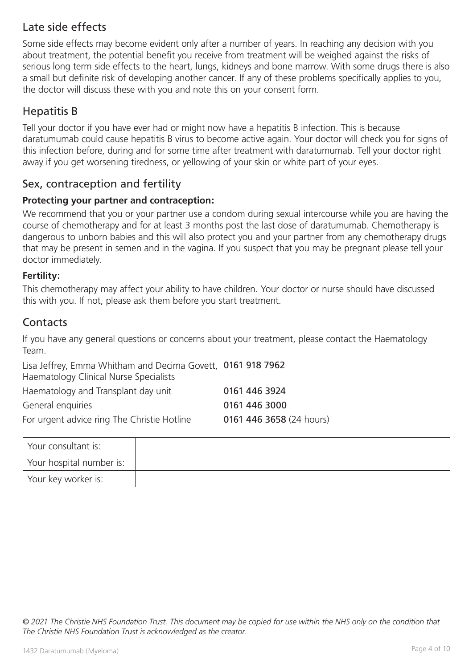# Late side effects

Some side effects may become evident only after a number of years. In reaching any decision with you about treatment, the potential benefit you receive from treatment will be weighed against the risks of serious long term side effects to the heart, lungs, kidneys and bone marrow. With some drugs there is also a small but definite risk of developing another cancer. If any of these problems specifically applies to you, the doctor will discuss these with you and note this on your consent form.

# Hepatitis B

Tell your doctor if you have ever had or might now have a hepatitis B infection. This is because daratumumab could cause hepatitis B virus to become active again. Your doctor will check you for signs of this infection before, during and for some time after treatment with daratumumab. Tell your doctor right away if you get worsening tiredness, or yellowing of your skin or white part of your eyes.

## Sex, contraception and fertility

## **Protecting your partner and contraception:**

We recommend that you or your partner use a condom during sexual intercourse while you are having the course of chemotherapy and for at least 3 months post the last dose of daratumumab. Chemotherapy is dangerous to unborn babies and this will also protect you and your partner from any chemotherapy drugs that may be present in semen and in the vagina. If you suspect that you may be pregnant please tell your doctor immediately.

## **Fertility:**

This chemotherapy may affect your ability to have children. Your doctor or nurse should have discussed this with you. If not, please ask them before you start treatment.

## **Contacts**

If you have any general questions or concerns about your treatment, please contact the Haematology Team.

| Lisa Jeffrey, Emma Whitham and Decima Govett, 0161 918 7962<br>Haematology Clinical Nurse Specialists |                          |
|-------------------------------------------------------------------------------------------------------|--------------------------|
| Haematology and Transplant day unit                                                                   | 0161 446 3924            |
| General enquiries                                                                                     | 0161 446 3000            |
| For urgent advice ring The Christie Hotline                                                           | 0161 446 3658 (24 hours) |

| Your consultant is:      |  |
|--------------------------|--|
| Your hospital number is: |  |
| Your key worker is:      |  |

*© 2021 The Christie NHS Foundation Trust. This document may be copied for use within the NHS only on the condition that The Christie NHS Foundation Trust is acknowledged as the creator.*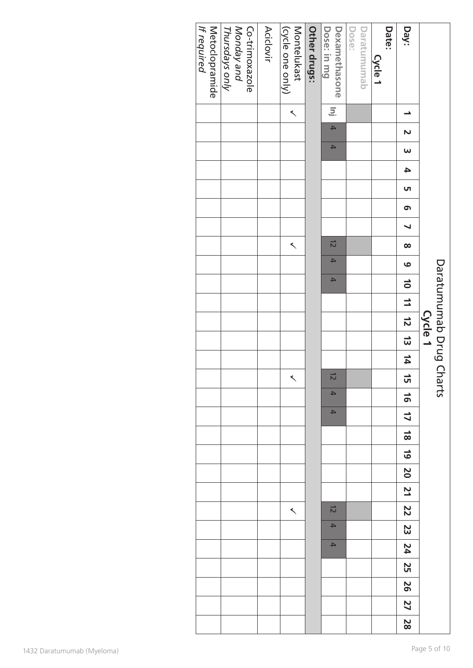|                            | If required<br>Metoclopramide | <b>Monday and</b><br>Co-trimoxazole<br>Thursdays only | <b>Aciclovir</b> | Montelukast<br>(cycle one only) | Other drugs: | Dose: in mg<br>Dexamethasone | Dose:<br>Daratumumab | Date:<br>Cycle 1 | Day:                    |                         |
|----------------------------|-------------------------------|-------------------------------------------------------|------------------|---------------------------------|--------------|------------------------------|----------------------|------------------|-------------------------|-------------------------|
|                            |                               |                                                       |                  | $\blacktriangleleft$            |              | $\overline{z}$ .             |                      |                  | $\blacktriangle$        |                         |
|                            |                               |                                                       |                  |                                 |              | $\overline{4}$               |                      |                  | $\mathbf{N}$            |                         |
|                            |                               |                                                       |                  |                                 |              | $\blacktriangle$             |                      |                  | $\pmb{\omega}$          |                         |
|                            |                               |                                                       |                  |                                 |              |                              |                      |                  | $\blacktriangle$        |                         |
|                            |                               |                                                       |                  |                                 |              |                              |                      |                  | UΠ                      |                         |
|                            |                               |                                                       |                  |                                 |              |                              |                      |                  | $\bullet$               |                         |
|                            |                               |                                                       |                  |                                 |              |                              |                      |                  | $\blacktriangleleft$    |                         |
|                            |                               |                                                       |                  | $\blacktriangleleft$            |              | $\overrightarrow{C}$         |                      |                  | $\infty$                |                         |
|                            |                               |                                                       |                  |                                 |              | $\overline{4}$               |                      |                  | $\circ$                 |                         |
|                            |                               |                                                       |                  |                                 |              | $\blacktriangle$             |                      |                  | $\vec{0}$               | Daratumumab Drug Charts |
|                            |                               |                                                       |                  |                                 |              |                              |                      |                  | $\overrightarrow{=}$    |                         |
|                            |                               |                                                       |                  |                                 |              |                              |                      |                  | $\vec{z}$               | Cycle 1                 |
|                            |                               |                                                       |                  |                                 |              |                              |                      |                  | $\vec{\omega}$          |                         |
|                            |                               |                                                       |                  |                                 |              |                              |                      |                  | 14                      |                         |
|                            |                               |                                                       |                  | $\prec$                         |              | $\overrightarrow{C}$         |                      |                  | ਯ                       |                         |
|                            |                               |                                                       |                  |                                 |              | $\blacktriangle$             |                      |                  | $\overline{9}$          |                         |
|                            |                               |                                                       |                  |                                 |              | $\blacktriangle$             |                      |                  | $\overline{\mathbf{L}}$ |                         |
|                            |                               |                                                       |                  |                                 |              |                              |                      |                  | $\frac{1}{8}$           |                         |
|                            |                               |                                                       |                  |                                 |              |                              |                      |                  | $\overline{6}$          |                         |
|                            |                               |                                                       |                  |                                 |              |                              |                      |                  | 20                      |                         |
|                            |                               |                                                       |                  |                                 |              |                              |                      |                  | 71                      |                         |
|                            |                               |                                                       |                  | $\prec$                         |              | $\vec{z}$                    |                      |                  | 22                      |                         |
|                            |                               |                                                       |                  |                                 |              | $\blacktriangle$             |                      |                  | 23                      |                         |
|                            |                               |                                                       |                  |                                 |              | $\blacktriangle$             |                      |                  | 24                      |                         |
|                            |                               |                                                       |                  |                                 |              |                              |                      |                  | <b>SP</b>               |                         |
|                            |                               |                                                       |                  |                                 |              |                              |                      |                  | 56                      |                         |
|                            |                               |                                                       |                  |                                 |              |                              |                      |                  | 27                      |                         |
|                            |                               |                                                       |                  |                                 |              |                              |                      |                  | $\overline{\mathbf{S}}$ |                         |
| 1432 Daratumumab (Myeloma) |                               |                                                       |                  |                                 |              |                              |                      |                  |                         | Page 5 of 10            |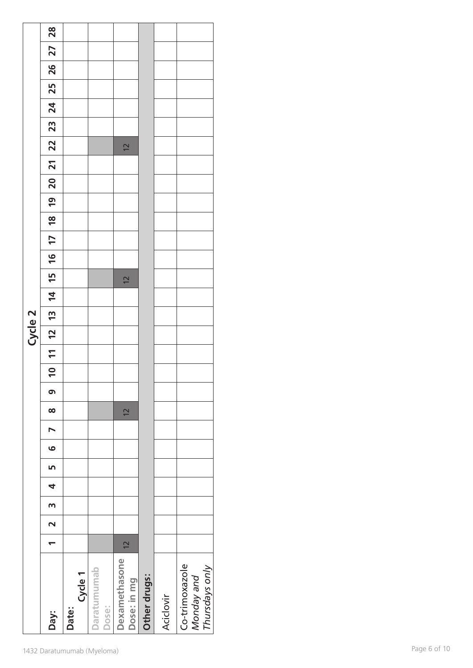|         |                                            |                  | 1432 Daratumumab (Myeloma) |                              |              |           |                                                |
|---------|--------------------------------------------|------------------|----------------------------|------------------------------|--------------|-----------|------------------------------------------------|
|         | Day:                                       | Cycle 1<br>Date: | Daratumumab<br>Dose:       | Dexamethasone<br>Dose: in mg | Other drugs: | Aciclovir | Co-trimoxazole<br>Monday and<br>Thursdays only |
|         | $\overline{\phantom{0}}$                   |                  |                            | $\overline{2}$               |              |           |                                                |
|         | $\mathbf N$                                |                  |                            |                              |              |           |                                                |
|         | $\mathsf{m}$                               |                  |                            |                              |              |           |                                                |
|         | 4                                          |                  |                            |                              |              |           |                                                |
|         | Ln                                         |                  |                            |                              |              |           |                                                |
|         | $\circ$                                    |                  |                            |                              |              |           |                                                |
|         | $\blacktriangleright$                      |                  |                            |                              |              |           |                                                |
|         | $\infty$                                   |                  |                            | 12                           |              |           |                                                |
|         | თ $\,$                                     |                  |                            |                              |              |           |                                                |
|         | $\overline{1}$<br>$\overline{\phantom{0}}$ |                  |                            |                              |              |           |                                                |
|         | $\overline{\mathbf{c}}$                    |                  |                            |                              |              |           |                                                |
| Cycle 2 | $\frac{1}{2}$                              |                  |                            |                              |              |           |                                                |
|         | $\overline{4}$                             |                  |                            |                              |              |           |                                                |
|         | 15                                         |                  |                            | $\overline{12}$              |              |           |                                                |
|         | $\frac{1}{6}$                              |                  |                            |                              |              |           |                                                |
|         | 17                                         |                  |                            |                              |              |           |                                                |
|         | $\frac{8}{10}$                             |                  |                            |                              |              |           |                                                |
|         | $\overline{6}$                             |                  |                            |                              |              |           |                                                |
|         | 20                                         |                  |                            |                              |              |           |                                                |
|         | $\overline{21}$                            |                  |                            |                              |              |           |                                                |
|         | 22                                         |                  |                            | 12                           |              |           |                                                |
|         | 23                                         |                  |                            |                              |              |           |                                                |
|         | 24                                         |                  |                            |                              |              |           |                                                |
|         | 25                                         |                  |                            |                              |              |           |                                                |
|         | 26                                         |                  |                            |                              |              |           |                                                |
|         | 27                                         |                  |                            |                              |              |           |                                                |
|         | 28                                         |                  |                            |                              |              |           |                                                |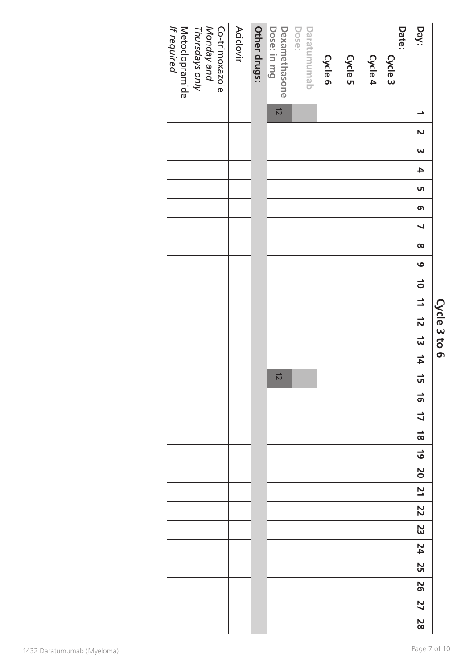|                            | If required<br>Metoclopramide | <b>Monday and</b><br>Co-trimoxazole<br>Thursdays only | <b>Aciclovir</b> | Other drugs: | Dose: in mg<br>Dexamethasone | Daratumumab<br>Dose: | Cycle 6 | Cycle 5 | Cycle 4 | Date:<br>Cycle 3 | Day:                      |              |
|----------------------------|-------------------------------|-------------------------------------------------------|------------------|--------------|------------------------------|----------------------|---------|---------|---------|------------------|---------------------------|--------------|
|                            |                               |                                                       |                  |              | $\vec{z}$                    |                      |         |         |         |                  | $\blacktriangle$          |              |
|                            |                               |                                                       |                  |              |                              |                      |         |         |         |                  | $\boldsymbol{\mathsf{N}}$ |              |
|                            |                               |                                                       |                  |              |                              |                      |         |         |         |                  | $\pmb{\omega}$            |              |
|                            |                               |                                                       |                  |              |                              |                      |         |         |         |                  | 4                         |              |
|                            |                               |                                                       |                  |              |                              |                      |         |         |         |                  | UП                        |              |
|                            |                               |                                                       |                  |              |                              |                      |         |         |         |                  | თ $\,$                    |              |
|                            |                               |                                                       |                  |              |                              |                      |         |         |         |                  | $\blacktriangleright$     |              |
|                            |                               |                                                       |                  |              |                              |                      |         |         |         |                  | $\infty$                  |              |
|                            |                               |                                                       |                  |              |                              |                      |         |         |         |                  | $\bullet$                 |              |
|                            |                               |                                                       |                  |              |                              |                      |         |         |         |                  | $\vec{0}$                 |              |
|                            |                               |                                                       |                  |              |                              |                      |         |         |         |                  | $\equiv$                  |              |
|                            |                               |                                                       |                  |              |                              |                      |         |         |         |                  | $\vec{z}$                 | Cycle 3 to 6 |
|                            |                               |                                                       |                  |              |                              |                      |         |         |         |                  | $\vec{\omega}$            |              |
|                            |                               |                                                       |                  |              |                              |                      |         |         |         |                  | $\sharp$                  |              |
|                            |                               |                                                       |                  |              | $\vec{z}$                    |                      |         |         |         |                  | ਯ                         |              |
|                            |                               |                                                       |                  |              |                              |                      |         |         |         |                  | $\frac{1}{6}$             |              |
|                            |                               |                                                       |                  |              |                              |                      |         |         |         |                  | $\overline{\mathbf{L}}$   |              |
|                            |                               |                                                       |                  |              |                              |                      |         |         |         |                  | $\frac{1}{8}$             |              |
|                            |                               |                                                       |                  |              |                              |                      |         |         |         |                  | $\overline{6}$            |              |
|                            |                               |                                                       |                  |              |                              |                      |         |         |         |                  | 20                        |              |
|                            |                               |                                                       |                  |              |                              |                      |         |         |         |                  | 21                        |              |
|                            |                               |                                                       |                  |              |                              |                      |         |         |         |                  | 22                        |              |
|                            |                               |                                                       |                  |              |                              |                      |         |         |         |                  | 23                        |              |
|                            |                               |                                                       |                  |              |                              |                      |         |         |         |                  | 24                        |              |
|                            |                               |                                                       |                  |              |                              |                      |         |         |         |                  | <b>25</b>                 |              |
|                            |                               |                                                       |                  |              |                              |                      |         |         |         |                  | 56                        |              |
|                            |                               |                                                       |                  |              |                              |                      |         |         |         |                  | 27                        |              |
|                            |                               |                                                       |                  |              |                              |                      |         |         |         |                  | $\mathbf{28}$             |              |
| 1432 Daratumumab (Myeloma) |                               |                                                       |                  |              |                              |                      |         |         |         |                  | Page 7 of 10              |              |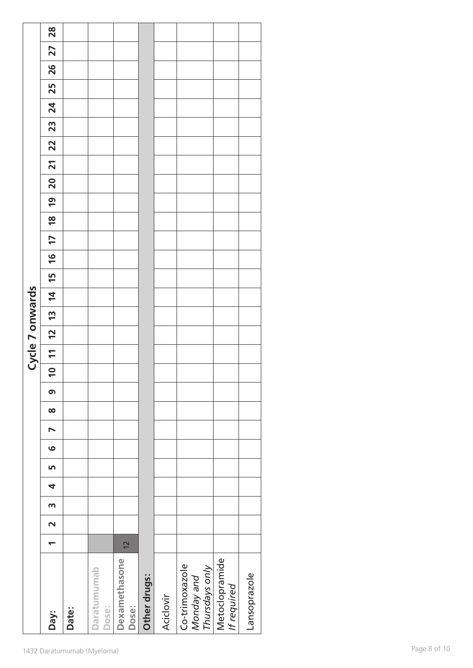|                 | Day:                             | Date: | Daratumumab<br>Dose:<br>1432 Daratumumab (Myeloma) | Dexamethasone<br>Dose: | Other drugs: | Aciclovir | Co-trimoxazole<br>Thursdays only<br>Monday and | Metoclopramide<br>If required | Lansoprazole |
|-----------------|----------------------------------|-------|----------------------------------------------------|------------------------|--------------|-----------|------------------------------------------------|-------------------------------|--------------|
|                 |                                  |       |                                                    |                        |              |           |                                                |                               |              |
|                 | $\overline{\phantom{0}}$         |       |                                                    | $\overline{2}$         |              |           |                                                |                               |              |
|                 | $\sim$                           |       |                                                    |                        |              |           |                                                |                               |              |
|                 | $\mathsf{m}$                     |       |                                                    |                        |              |           |                                                |                               |              |
|                 | 4                                |       |                                                    |                        |              |           |                                                |                               |              |
|                 | Ln                               |       |                                                    |                        |              |           |                                                |                               |              |
|                 | $\bullet$                        |       |                                                    |                        |              |           |                                                |                               |              |
|                 | $\blacktriangleright$            |       |                                                    |                        |              |           |                                                |                               |              |
|                 | $\infty$                         |       |                                                    |                        |              |           |                                                |                               |              |
|                 | $\sigma$                         |       |                                                    |                        |              |           |                                                |                               |              |
|                 | $\overline{1}$<br>$\overline{a}$ |       |                                                    |                        |              |           |                                                |                               |              |
| Cycle 7 onwards |                                  |       |                                                    |                        |              |           |                                                |                               |              |
|                 | $\overline{u}$<br>$\overline{2}$ |       |                                                    |                        |              |           |                                                |                               |              |
|                 | $\overline{4}$                   |       |                                                    |                        |              |           |                                                |                               |              |
|                 | 15                               |       |                                                    |                        |              |           |                                                |                               |              |
|                 | $\frac{1}{2}$                    |       |                                                    |                        |              |           |                                                |                               |              |
|                 | 17                               |       |                                                    |                        |              |           |                                                |                               |              |
|                 | $\frac{8}{1}$                    |       |                                                    |                        |              |           |                                                |                               |              |
|                 | $\overline{6}$                   |       |                                                    |                        |              |           |                                                |                               |              |
|                 | $\overline{\mathbf{S}}$          |       |                                                    |                        |              |           |                                                |                               |              |
|                 | $\overline{21}$                  |       |                                                    |                        |              |           |                                                |                               |              |
|                 | 22                               |       |                                                    |                        |              |           |                                                |                               |              |
|                 | 23                               |       |                                                    |                        |              |           |                                                |                               |              |
|                 | 24                               |       |                                                    |                        |              |           |                                                |                               |              |
|                 | 25                               |       |                                                    |                        |              |           |                                                |                               |              |
|                 | 26                               |       |                                                    |                        |              |           |                                                |                               |              |
|                 | 27                               |       |                                                    |                        |              |           |                                                |                               |              |
|                 | 28                               |       |                                                    |                        |              |           |                                                |                               |              |